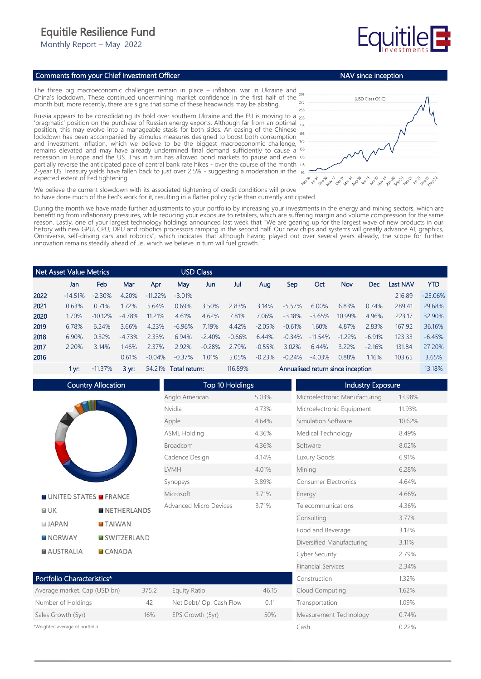## Equitile Resilience Fund

Monthly Report – May 2022

## Comments from your Chief Investment Officer

The three big macroeconomic challenges remain in place – inflation, war in Ukraine and China's lockdown. These continued undermining market confidence in the first half of the month but, more recently, there are signs that some of these headwinds may be abating.

Russia appears to be consolidating its hold over southern Ukraine and the EU is moving to a 235 'pragmatic' position on the purchase of Russian energy exports. Although far from an optimal position, this may evolve into a manageable stasis for both sides. An easing of the Chinese lockdown has been accompanied by stimulus measures designed to boost both consumption and investment. Inflation, which we believe to be the biggest macroeconomic challenge, remains elevated and may have already undermined final demand sufficiently to cause a recession in Europe and the US. This in turn has allowed bond markets to pause and even partially reverse the anticipated pace of central bank rate hikes - over the course of the month 2-year US Treasury yields have fallen back to just over 2.5% - suggesting a moderation in the expected extent of Fed tightening.



Measurement Technology 0.74% Cash 0.22%

We believe the current slowdown with its associated tightening of credit conditions will prove to have done much of the Fed's work for it, resulting in a flatter policy cycle than currently anticipated.

During the month we have made further adjustments to your portfolio by increasing your investments in the energy and mining sectors, which are benefitting from inflationary pressures, while reducing your exposure to retailers, which are suffering margin and volume compression for the same reason. Lastly, one of your largest technology holdings announced last week that "We are gearing up for the largest wave of new products in our history with new GPU, CPU, DPU and robotics processors ramping in the second half. Our new chips and systems will greatly advance AI, graphics, Omniverse, self-driving cars and robotics", which indicates that although having played out over several years already, the scope for further innovation remains steadily ahead of us, which we believe in turn will fuel growth.

| l Net Asset Value Metrics |           |            | USD Class        |            |                      |          |          |                                   |          |           |            |          |          |            |
|---------------------------|-----------|------------|------------------|------------|----------------------|----------|----------|-----------------------------------|----------|-----------|------------|----------|----------|------------|
|                           | Jan       | Feb        | Mar              | Apr        | May                  | Jun      | Jul      | Aug                               | Sep      | Oct       | <b>Nov</b> | Dec      | Last NAV | <b>YTD</b> |
| 2022                      | $-14.51%$ | $-2.30%$   | 4.20%            | $-11.22\%$ | $-3.01%$             |          |          |                                   |          |           |            |          | 216.89   | $-25.06%$  |
| 2021                      | 0.63%     | 0.71%      | 1.72%            | 5.64%      | 0.69%                | 3.50%    | 2.83%    | 3.14%                             | $-5.57%$ | $6.00\%$  | 6.83%      | 0.74%    | 289.41   | 29.68%     |
| 2020                      | 1.70%     | $-1012\%$  | $-4.78%$         | 11 21%     | 4.61%                | 4.62%    | 7.81%    | 7.06%                             | $-3.18%$ | $-3.65%$  | 10.99%     | 4.96%    | 223.17   | 32.90%     |
| 2019                      | 6.78%     | 6.24%      | 3.66%            | 4.23%      | $-6.96%$             | 7.19%    | 4.42%    | $-2.05%$                          | $-0.61%$ | 1.60%     | 4.87%      | 2.83%    | 167.92   | 36.16%     |
| 2018                      | 6.90%     | 0.32%      | $-473%$          | 2.33%      | 6.94%                | $-2.40%$ | $-0.66%$ | 6.44%                             | $-0.34%$ | $-11.54%$ | $-1.22%$   | $-6.91%$ | 123.33   | $-6.45%$   |
| 2017                      | 2.20%     | 3.14%      | 1.46%            | 2.37%      | 2.92%                | $-0.28%$ | 2.79%    | $-0.55%$                          | 3.02%    | 6.44%     | 3.22%      | $-2.16%$ | 131.84   | 27.20%     |
| 2016                      |           |            | 0.61%            | $-0.04%$   | $-0.37%$             | 1.01%    | 5.05%    | $-0.23%$                          | $-0.24%$ | $-4.03%$  | 0.88%      | 1.16%    | 103.65   | 3.65%      |
|                           | 1 vr: .   | $-11.37\%$ | $3 \, \text{vr}$ |            | 54.21% Total return: |          | 116.89%  | Annualised return since inception |          |           |            | 13.18%   |          |            |

Country Allocation Top 10 Holdings Industry Exposure Anglo American 5.03% Microelectronic Manufacturing 13.98% Nvidia 4.73% Microelectronic Equipment 11.93% Apple 4.64% Simulation Software 10.62% ASML Holding 4.36% Medical Technology 8.49% Broadcom 4.36% Software 8.02% Cadence Design 4.14% Luxury Goods 6.91% LVMH 4.01% Mining 6.28% Synopsys 3.89% Consumer Electronics 4.64% Microsoft 3.71% Energy 4.66% **NUNITED STATES MERANCE** Advanced Micro Devices 3.71% Telecommunications 4.36%  $F = I K$ **NETHERLANDS** Consulting 3.77% **JAPAN TAIWAN** Food and Beverage 3.12% **MISWITZERLAND NORWAY** Diversified Manufacturing 3.11% **MAUSTRALIA CANADA** Cyber Security 2.79% Financial Services 2.34% Portfolio Characteristics\* Construction 1.32% Cloud Computing 1.62% Transportation 1.09%

| <b>TURNO CHARGE BUS</b>      |       |                         |       |
|------------------------------|-------|-------------------------|-------|
| Average market. Cap (USD bn) | 375.2 | Equity Ratio            | 46.15 |
| Number of Holdings           | 42    | Net Debt/ Op. Cash Flow | 0.11  |
| Sales Growth (5yr)           | 16%   | EPS Growth (5yr)        | 50%   |
|                              |       |                         |       |

\*Weighted average of portfolio



NAV since inception